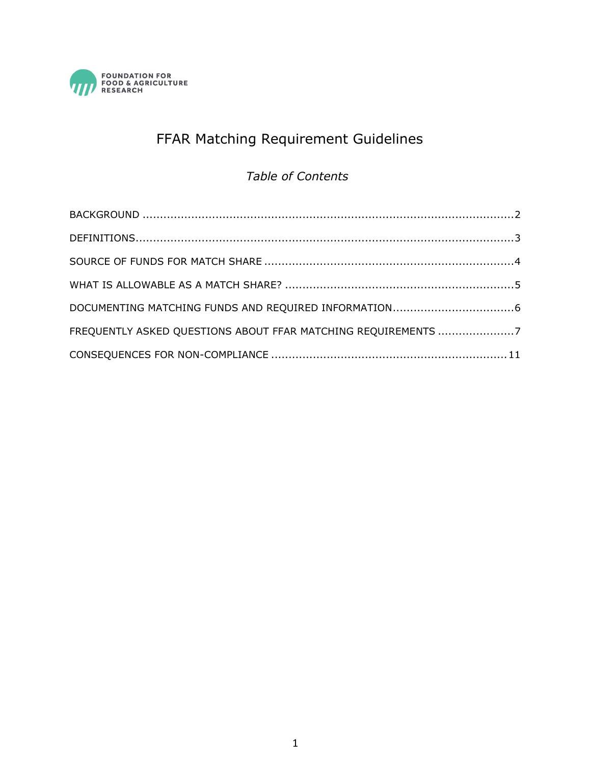

# FFAR Matching Requirement Guidelines

### *Table of Contents*

| FREQUENTLY ASKED QUESTIONS ABOUT FFAR MATCHING REQUIREMENTS 7 |  |
|---------------------------------------------------------------|--|
|                                                               |  |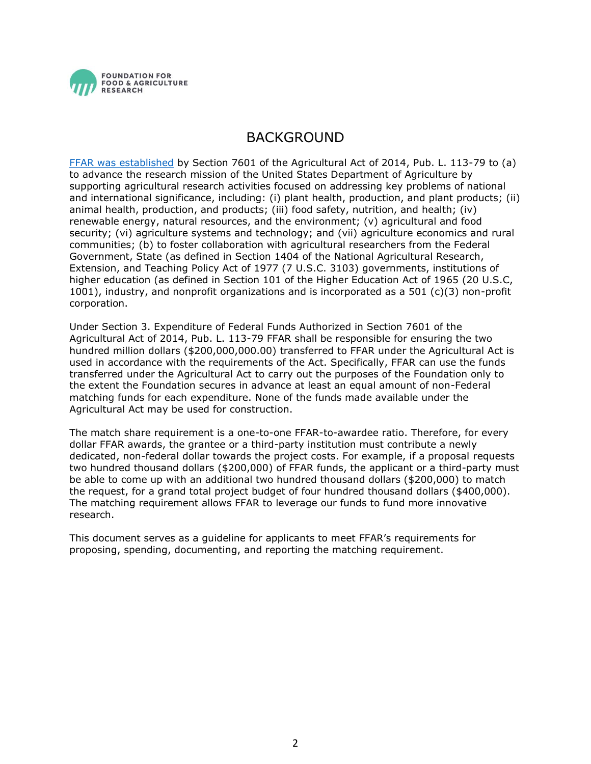

### BACKGROUND

<span id="page-1-0"></span>[FFAR was established](https://foundationfar.org/about/governance/) by Section 7601 of the Agricultural Act of 2014, Pub. L. 113-79 to (a) to advance the research mission of the United States Department of Agriculture by supporting agricultural research activities focused on addressing key problems of national and international significance, including: (i) plant health, production, and plant products; (ii) animal health, production, and products; (iii) food safety, nutrition, and health; (iv) renewable energy, natural resources, and the environment; (v) agricultural and food security; (vi) agriculture systems and technology; and (vii) agriculture economics and rural communities; (b) to foster collaboration with agricultural researchers from the Federal Government, State (as defined in Section 1404 of the National Agricultural Research, Extension, and Teaching Policy Act of 1977 (7 U.S.C. 3103) governments, institutions of higher education (as defined in Section 101 of the Higher Education Act of 1965 (20 U.S.C, 1001), industry, and nonprofit organizations and is incorporated as a 501 (c)(3) non-profit corporation.

Under Section 3. Expenditure of Federal Funds Authorized in Section 7601 of the Agricultural Act of 2014, Pub. L. 113-79 FFAR shall be responsible for ensuring the two hundred million dollars (\$200,000,000.00) transferred to FFAR under the Agricultural Act is used in accordance with the requirements of the Act. Specifically, FFAR can use the funds transferred under the Agricultural Act to carry out the purposes of the Foundation only to the extent the Foundation secures in advance at least an equal amount of non-Federal matching funds for each expenditure. None of the funds made available under the Agricultural Act may be used for construction.

The match share requirement is a one-to-one FFAR-to-awardee ratio. Therefore, for every dollar FFAR awards, the grantee or a third-party institution must contribute a newly dedicated, non-federal dollar towards the project costs. For example, if a proposal requests two hundred thousand dollars (\$200,000) of FFAR funds, the applicant or a third-party must be able to come up with an additional two hundred thousand dollars (\$200,000) to match the request, for a grand total project budget of four hundred thousand dollars (\$400,000). The matching requirement allows FFAR to leverage our funds to fund more innovative research.

This document serves as a guideline for applicants to meet FFAR's requirements for proposing, spending, documenting, and reporting the matching requirement.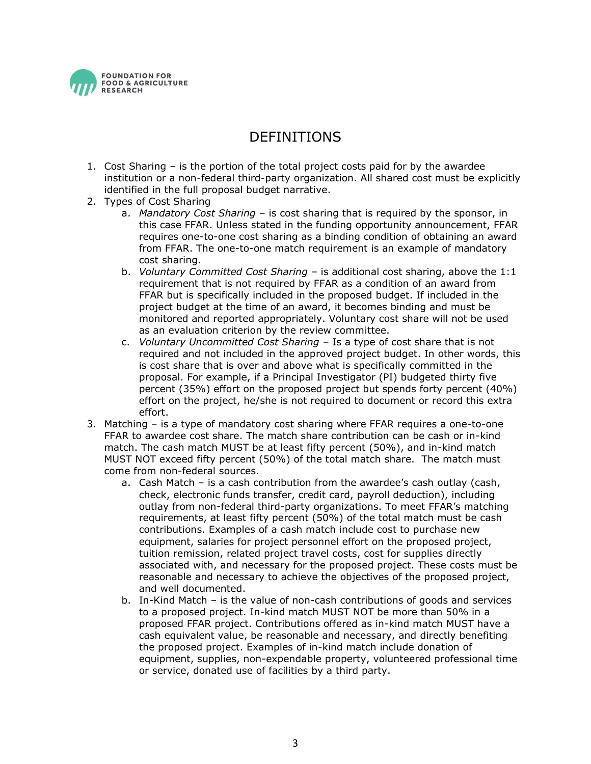

### DEFINITIONS

- <span id="page-2-0"></span>1. Cost Sharing – is the portion of the total project costs paid for by the awardee institution or a non-federal third-party organization. All shared cost must be explicitly identified in the full proposal budget narrative.
- 2. Types of Cost Sharing
	- a. *Mandatory Cost Sharing* is cost sharing that is required by the sponsor, in this case FFAR. Unless stated in the funding opportunity announcement, FFAR requires one-to-one cost sharing as a binding condition of obtaining an award from FFAR. The one-to-one match requirement is an example of mandatory cost sharing.
	- b. *Voluntary Committed Cost Sharing* is additional cost sharing, above the 1:1 requirement that is not required by FFAR as a condition of an award from FFAR but is specifically included in the proposed budget. If included in the project budget at the time of an award, it becomes binding and must be monitored and reported appropriately. Voluntary cost share will not be used as an evaluation criterion by the review committee.
	- c. *Voluntary Uncommitted Cost Sharing* Is a type of cost share that is not required and not included in the approved project budget. In other words, this is cost share that is over and above what is specifically committed in the proposal. For example, if a Principal Investigator (PI) budgeted thirty five percent (35%) effort on the proposed project but spends forty percent (40%) effort on the project, he/she is not required to document or record this extra effort.
- 3. Matching is a type of mandatory cost sharing where FFAR requires a one-to-one FFAR to awardee cost share. The match share contribution can be cash or in-kind match. The cash match MUST be at least fifty percent (50%), and in-kind match MUST NOT exceed fifty percent (50%) of the total match share. The match must come from non-federal sources.
	- a. Cash Match is a cash contribution from the awardee's cash outlay (cash, check, electronic funds transfer, credit card, payroll deduction), including outlay from non-federal third-party organizations. To meet FFAR's matching requirements, at least fifty percent (50%) of the total match must be cash contributions. Examples of a cash match include cost to purchase new equipment, salaries for project personnel effort on the proposed project, tuition remission, related project travel costs, cost for supplies directly associated with, and necessary for the proposed project. These costs must be reasonable and necessary to achieve the objectives of the proposed project, and well documented.
	- b. In-Kind Match is the value of non-cash contributions of goods and services to a proposed project. In-kind match MUST NOT be more than 50% in a proposed FFAR project. Contributions offered as in-kind match MUST have a cash equivalent value, be reasonable and necessary, and directly benefiting the proposed project. Examples of in-kind match include donation of equipment, supplies, non-expendable property, volunteered professional time or service, donated use of facilities by a third party.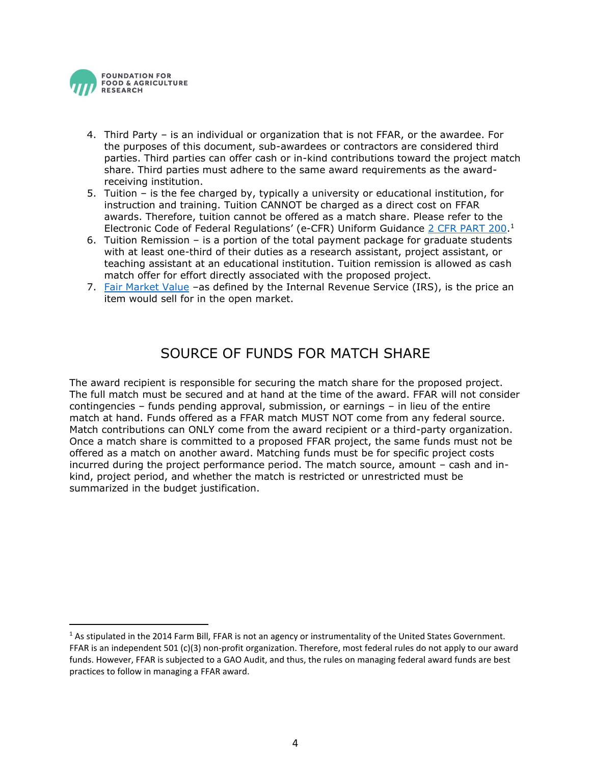

- 4. Third Party is an individual or organization that is not FFAR, or the awardee. For the purposes of this document, sub-awardees or contractors are considered third parties. Third parties can offer cash or in-kind contributions toward the project match share. Third parties must adhere to the same award requirements as the awardreceiving institution.
- 5. Tuition is the fee charged by, typically a university or educational institution, for instruction and training. Tuition CANNOT be charged as a direct cost on FFAR awards. Therefore, tuition cannot be offered as a match share. Please refer to the Electronic Code of Federal Regulations' (e-CFR) Uniform Guidance [2 CFR PART 200.](http://www.ecfr.gov/cgi-bin/text-idx?tpl=/ecfrbrowse/Title02/2cfr200_main_02.tpl)<sup>1</sup>
- 6. Tuition Remission is a portion of the total payment package for graduate students with at least one-third of their duties as a research assistant, project assistant, or teaching assistant at an educational institution. Tuition remission is allowed as cash match offer for effort directly associated with the proposed project.
- <span id="page-3-0"></span>7. [Fair Market Value](https://www.irs.gov/publications/p561/ar02.html) –as defined by the Internal Revenue Service (IRS), is the price an item would sell for in the open market.

# SOURCE OF FUNDS FOR MATCH SHARE

The award recipient is responsible for securing the match share for the proposed project. The full match must be secured and at hand at the time of the award. FFAR will not consider contingencies – funds pending approval, submission, or earnings – in lieu of the entire match at hand. Funds offered as a FFAR match MUST NOT come from any federal source. Match contributions can ONLY come from the award recipient or a third-party organization. Once a match share is committed to a proposed FFAR project, the same funds must not be offered as a match on another award. Matching funds must be for specific project costs incurred during the project performance period. The match source, amount – cash and inkind, project period, and whether the match is restricted or unrestricted must be summarized in the budget justification.

<span id="page-3-1"></span> $1$  As stipulated in the 2014 Farm Bill, FFAR is not an agency or instrumentality of the United States Government. FFAR is an independent 501 (c)(3) non-profit organization. Therefore, most federal rules do not apply to our award funds. However, FFAR is subjected to a GAO Audit, and thus, the rules on managing federal award funds are best practices to follow in managing a FFAR award.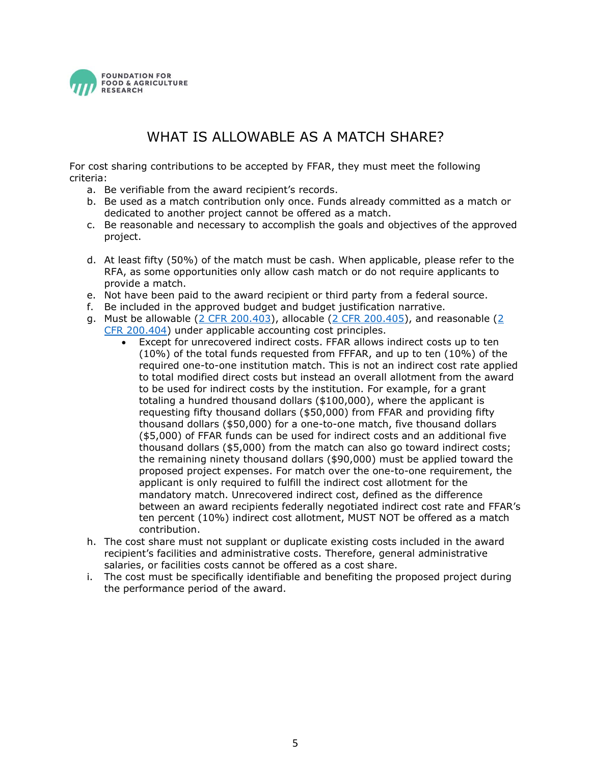

## WHAT IS ALLOWABLE AS A MATCH SHARE?

For cost sharing contributions to be accepted by FFAR, they must meet the following criteria:

- a. Be verifiable from the award recipient's records.
- b. Be used as a match contribution only once. Funds already committed as a match or dedicated to another project cannot be offered as a match.
- c. Be reasonable and necessary to accomplish the goals and objectives of the approved project.
- d. At least fifty (50%) of the match must be cash. When applicable, please refer to the RFA, as some opportunities only allow cash match or do not require applicants to provide a match.
- e. Not have been paid to the award recipient or third party from a federal source.
- f. Be included in the approved budget and budget justification narrative.
- g. Must be allowable  $(2 \text{ CFR } 200.403)$  $(2 \text{ CFR } 200.403)$ , allocable  $(2 \text{ CFR } 200.405)$ , and reasonable  $(2 \text{ CFR } 200.405)$ [CFR 200.404\)](http://www.ecfr.gov/cgi-bin/text-idx?SID=6ef89c8fd64c0be7bdeb5c75dec79feb&node=se2.1.200_1404&rgn=div8) under applicable accounting cost principles.
	- Except for unrecovered indirect costs. FFAR allows indirect costs up to ten (10%) of the total funds requested from FFFAR, and up to ten (10%) of the required one-to-one institution match. This is not an indirect cost rate applied to total modified direct costs but instead an overall allotment from the award to be used for indirect costs by the institution. For example, for a grant totaling a hundred thousand dollars (\$100,000), where the applicant is requesting fifty thousand dollars (\$50,000) from FFAR and providing fifty thousand dollars (\$50,000) for a one-to-one match, five thousand dollars (\$5,000) of FFAR funds can be used for indirect costs and an additional five thousand dollars (\$5,000) from the match can also go toward indirect costs; the remaining ninety thousand dollars (\$90,000) must be applied toward the proposed project expenses. For match over the one-to-one requirement, the applicant is only required to fulfill the indirect cost allotment for the mandatory match. Unrecovered indirect cost, defined as the difference between an award recipients federally negotiated indirect cost rate and FFAR's ten percent (10%) indirect cost allotment, MUST NOT be offered as a match contribution.
- h. The cost share must not supplant or duplicate existing costs included in the award recipient's facilities and administrative costs. Therefore, general administrative salaries, or facilities costs cannot be offered as a cost share.
- i. The cost must be specifically identifiable and benefiting the proposed project during the performance period of the award.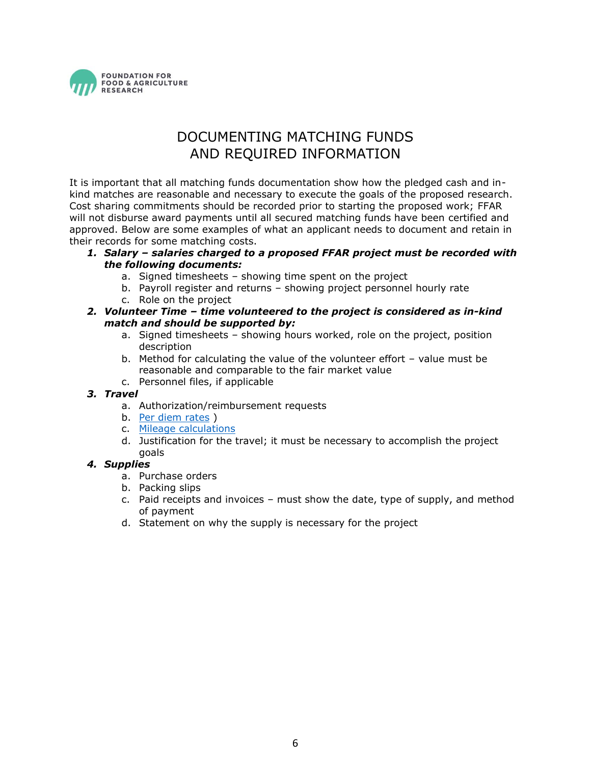

# DOCUMENTING MATCHING FUNDS AND REQUIRED INFORMATION

<span id="page-5-0"></span>It is important that all matching funds documentation show how the pledged cash and inkind matches are reasonable and necessary to execute the goals of the proposed research. Cost sharing commitments should be recorded prior to starting the proposed work; FFAR will not disburse award payments until all secured matching funds have been certified and approved. Below are some examples of what an applicant needs to document and retain in their records for some matching costs.

- *1. Salary – salaries charged to a proposed FFAR project must be recorded with the following documents:* 
	- a. Signed timesheets showing time spent on the project
	- b. Payroll register and returns showing project personnel hourly rate
	- c. Role on the project

#### *2. Volunteer Time – time volunteered to the project is considered as in-kind match and should be supported by:*

- a. Signed timesheets showing hours worked, role on the project, position description
- b. Method for calculating the value of the volunteer effort value must be reasonable and comparable to the fair market value
- c. Personnel files, if applicable

#### *3. Travel*

- a. Authorization/reimbursement requests
- b. [Per diem rates](https://www.gsa.gov/portal/content/104877) )
- c. [Mileage calculations](https://www.gsa.gov/travel/plan-book/transportation-airfare-pov-etc/privately-owned-vehicle-pov-mileage-reimbursement-rates)
- d. Justification for the travel; it must be necessary to accomplish the project goals

#### *4. Supplies*

- a. Purchase orders
- b. Packing slips
- c. Paid receipts and invoices must show the date, type of supply, and method of payment
- <span id="page-5-1"></span>d. Statement on why the supply is necessary for the project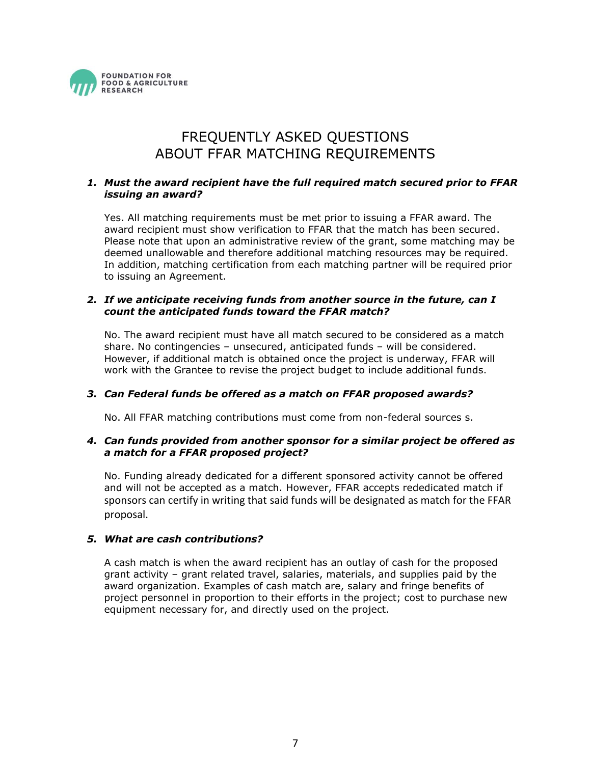

# FREQUENTLY ASKED QUESTIONS ABOUT FFAR MATCHING REQUIREMENTS

#### *1. Must the award recipient have the full required match secured prior to FFAR issuing an award?*

Yes. All matching requirements must be met prior to issuing a FFAR award. The award recipient must show verification to FFAR that the match has been secured. Please note that upon an administrative review of the grant, some matching may be deemed unallowable and therefore additional matching resources may be required. In addition, matching certification from each matching partner will be required prior to issuing an Agreement.

#### *2. If we anticipate receiving funds from another source in the future, can I count the anticipated funds toward the FFAR match?*

No. The award recipient must have all match secured to be considered as a match share. No contingencies – unsecured, anticipated funds – will be considered. However, if additional match is obtained once the project is underway, FFAR will work with the Grantee to revise the project budget to include additional funds.

#### *3. Can Federal funds be offered as a match on FFAR proposed awards?*

No. All FFAR matching contributions must come from non-federal sources s.

#### *4. Can funds provided from another sponsor for a similar project be offered as a match for a FFAR proposed project?*

No. Funding already dedicated for a different sponsored activity cannot be offered and will not be accepted as a match. However, FFAR accepts rededicated match if sponsors can certify in writing that said funds will be designated as match for the FFAR proposal.

#### *5. What are cash contributions?*

A cash match is when the award recipient has an outlay of cash for the proposed grant activity – grant related travel, salaries, materials, and supplies paid by the award organization. Examples of cash match are, salary and fringe benefits of project personnel in proportion to their efforts in the project; cost to purchase new equipment necessary for, and directly used on the project.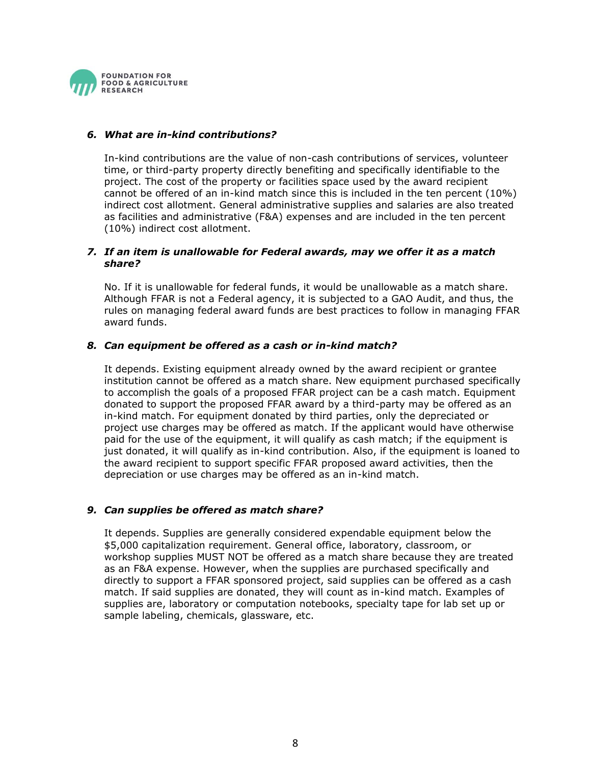

#### *6. What are in-kind contributions?*

In-kind contributions are the value of non-cash contributions of services, volunteer time, or third-party property directly benefiting and specifically identifiable to the project. The cost of the property or facilities space used by the award recipient cannot be offered of an in-kind match since this is included in the ten percent (10%) indirect cost allotment. General administrative supplies and salaries are also treated as facilities and administrative (F&A) expenses and are included in the ten percent (10%) indirect cost allotment.

#### *7. If an item is unallowable for Federal awards, may we offer it as a match share?*

No. If it is unallowable for federal funds, it would be unallowable as a match share. Although FFAR is not a Federal agency, it is subjected to a GAO Audit, and thus, the rules on managing federal award funds are best practices to follow in managing FFAR award funds.

#### *8. Can equipment be offered as a cash or in-kind match?*

It depends. Existing equipment already owned by the award recipient or grantee institution cannot be offered as a match share. New equipment purchased specifically to accomplish the goals of a proposed FFAR project can be a cash match. Equipment donated to support the proposed FFAR award by a third-party may be offered as an in-kind match. For equipment donated by third parties, only the depreciated or project use charges may be offered as match. If the applicant would have otherwise paid for the use of the equipment, it will qualify as cash match; if the equipment is just donated, it will qualify as in-kind contribution. Also, if the equipment is loaned to the award recipient to support specific FFAR proposed award activities, then the depreciation or use charges may be offered as an in-kind match.

#### *9. Can supplies be offered as match share?*

It depends. Supplies are generally considered expendable equipment below the \$5,000 capitalization requirement. General office, laboratory, classroom, or workshop supplies MUST NOT be offered as a match share because they are treated as an F&A expense. However, when the supplies are purchased specifically and directly to support a FFAR sponsored project, said supplies can be offered as a cash match. If said supplies are donated, they will count as in-kind match. Examples of supplies are, laboratory or computation notebooks, specialty tape for lab set up or sample labeling, chemicals, glassware, etc.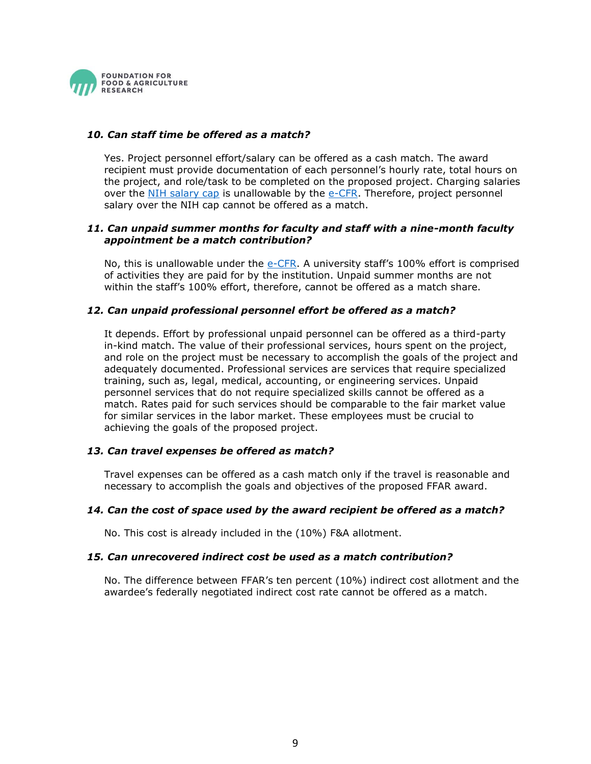

#### *10. Can staff time be offered as a match?*

Yes. Project personnel effort/salary can be offered as a cash match. The award recipient must provide documentation of each personnel's hourly rate, total hours on the project, and role/task to be completed on the proposed project. Charging salaries over the [NIH salary cap](https://grants.nih.gov/grants/policy/salcap_summary.htm) is unallowable by the [e-CFR.](http://www.ecfr.gov/cgi-bin/text-idx?tpl=/ecfrbrowse/Title02/2cfr200_main_02.tpl) Therefore, project personnel salary over the NIH cap cannot be offered as a match.

#### *11. Can unpaid summer months for faculty and staff with a nine-month faculty appointment be a match contribution?*

No, this is unallowable under the [e-CFR](http://www.ecfr.gov/cgi-bin/text-idx?tpl=/ecfrbrowse/Title02/2cfr200_main_02.tpl). A university staff's 100% effort is comprised of activities they are paid for by the institution. Unpaid summer months are not within the staff's 100% effort, therefore, cannot be offered as a match share.

#### *12. Can unpaid professional personnel effort be offered as a match?*

It depends. Effort by professional unpaid personnel can be offered as a third-party in-kind match. The value of their professional services, hours spent on the project, and role on the project must be necessary to accomplish the goals of the project and adequately documented. Professional services are services that require specialized training, such as, legal, medical, accounting, or engineering services. Unpaid personnel services that do not require specialized skills cannot be offered as a match. Rates paid for such services should be comparable to the fair market value for similar services in the labor market. These employees must be crucial to achieving the goals of the proposed project.

#### *13. Can travel expenses be offered as match?*

Travel expenses can be offered as a cash match only if the travel is reasonable and necessary to accomplish the goals and objectives of the proposed FFAR award.

#### *14. Can the cost of space used by the award recipient be offered as a match?*

No. This cost is already included in the (10%) F&A allotment.

#### *15. Can unrecovered indirect cost be used as a match contribution?*

No. The difference between FFAR's ten percent (10%) indirect cost allotment and the awardee's federally negotiated indirect cost rate cannot be offered as a match.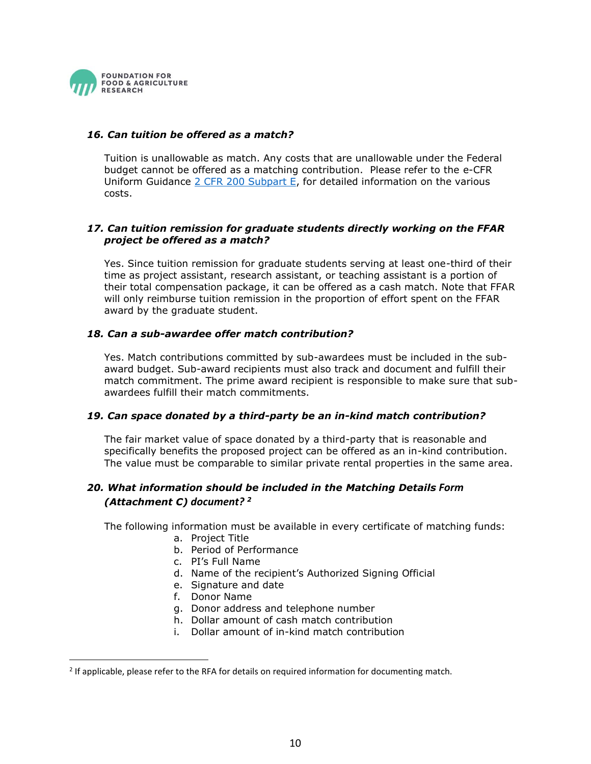

#### *16. Can tuition be offered as a match?*

Tuition is unallowable as match. Any costs that are unallowable under the Federal budget cannot be offered as a matching contribution. Please refer to the e-CFR Uniform Guidance [2 CFR 200 Subpart E,](https://www.ecfr.gov/cgi-bin/retrieveECFR?gp=&SID=e8fcdf4cb220e6f85364e9e821c4b624&mc=true&n=sp2.1.200.e&r=SUBPART&ty=HTML#se2.1.200_1473) for detailed information on the various costs.

#### *17. Can tuition remission for graduate students directly working on the FFAR project be offered as a match?*

Yes. Since tuition remission for graduate students serving at least one-third of their time as project assistant, research assistant, or teaching assistant is a portion of their total compensation package, it can be offered as a cash match. Note that FFAR will only reimburse tuition remission in the proportion of effort spent on the FFAR award by the graduate student.

#### *18. Can a sub-awardee offer match contribution?*

Yes. Match contributions committed by sub-awardees must be included in the subaward budget. Sub-award recipients must also track and document and fulfill their match commitment. The prime award recipient is responsible to make sure that subawardees fulfill their match commitments.

#### *19. Can space donated by a third-party be an in-kind match contribution?*

The fair market value of space donated by a third-party that is reasonable and specifically benefits the proposed project can be offered as an in-kind contribution. The value must be comparable to similar private rental properties in the same area.

#### *20. What information should be included in the Matching Details Form (Attachment C) document? <sup>2</sup>*

The following information must be available in every certificate of matching funds:

- a. Project Title
- b. Period of Performance
- c. PI's Full Name
- d. Name of the recipient's Authorized Signing Official
- e. Signature and date
- f. Donor Name
- g. Donor address and telephone number
- h. Dollar amount of cash match contribution
- i. Dollar amount of in-kind match contribution

 $2$  If applicable, please refer to the RFA for details on required information for documenting match.